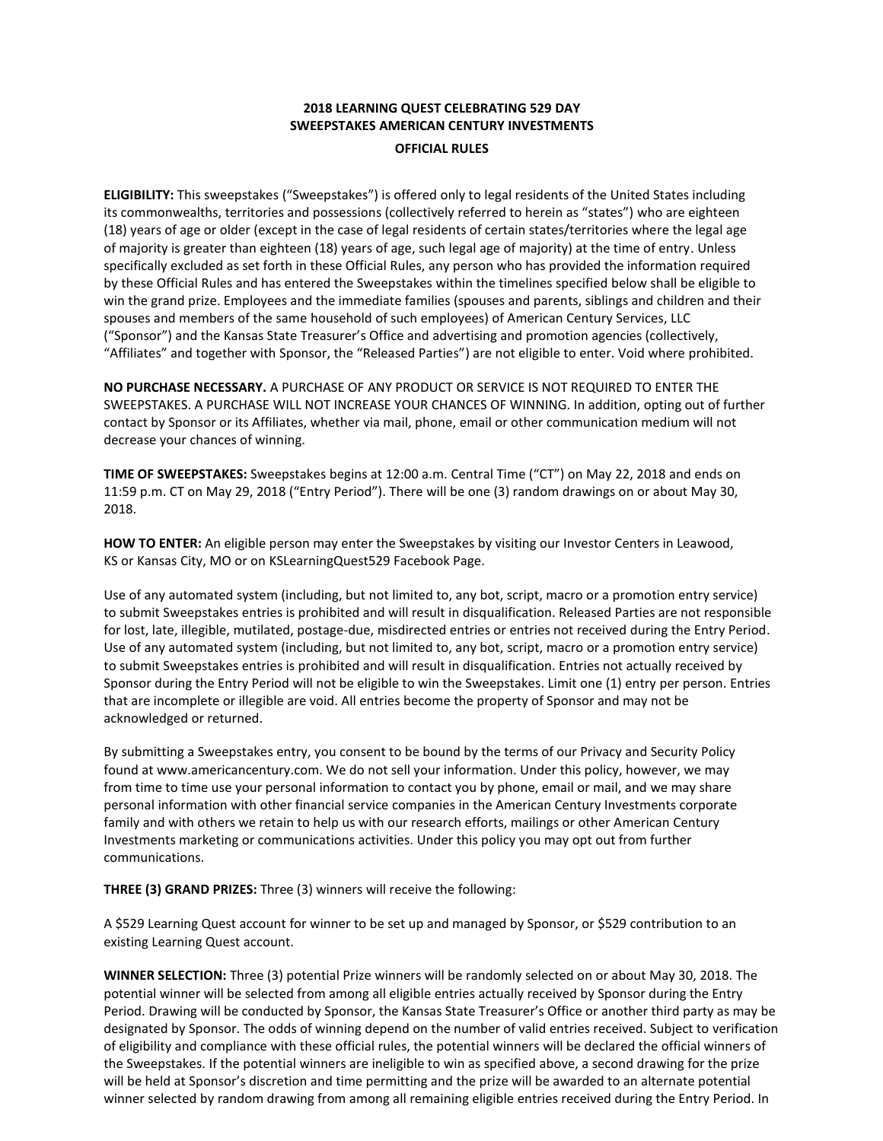## **2018 LEARNING QUEST CELEBRATING 529 DAY SWEEPSTAKES AMERICAN CENTURY INVESTMENTS OFFICIAL RULES**

**ELIGIBILITY:** This sweepstakes ("Sweepstakes") is offered only to legal residents of the United States including its commonwealths, territories and possessions (collectively referred to herein as "states") who are eighteen (18) years of age or older (except in the case of legal residents of certain states/territories where the legal age of majority is greater than eighteen (18) years of age, such legal age of majority) at the time of entry. Unless specifically excluded as set forth in these Official Rules, any person who has provided the information required by these Official Rules and has entered the Sweepstakes within the timelines specified below shall be eligible to win the grand prize. Employees and the immediate families (spouses and parents, siblings and children and their spouses and members of the same household of such employees) of American Century Services, LLC ("Sponsor") and the Kansas State Treasurer's Office and advertising and promotion agencies (collectively, "Affiliates" and together with Sponsor, the "Released Parties") are not eligible to enter. Void where prohibited.

**NO PURCHASE NECESSARY.** A PURCHASE OF ANY PRODUCT OR SERVICE IS NOT REQUIRED TO ENTER THE SWEEPSTAKES. A PURCHASE WILL NOT INCREASE YOUR CHANCES OF WINNING. In addition, opting out of further contact by Sponsor or its Affiliates, whether via mail, phone, email or other communication medium will not decrease your chances of winning.

**TIME OF SWEEPSTAKES:** Sweepstakes begins at 12:00 a.m. Central Time ("CT") on May 22, 2018 and ends on 11:59 p.m. CT on May 29, 2018 ("Entry Period"). There will be one (3) random drawings on or about May 30, 2018.

**HOW TO ENTER:** An eligible person may enter the Sweepstakes by visiting our Investor Centers in Leawood, KS or Kansas City, MO or on KSLearningQuest529 Facebook Page.

Use of any automated system (including, but not limited to, any bot, script, macro or a promotion entry service) to submit Sweepstakes entries is prohibited and will result in disqualification. Released Parties are not responsible for lost, late, illegible, mutilated, postage-due, misdirected entries or entries not received during the Entry Period. Use of any automated system (including, but not limited to, any bot, script, macro or a promotion entry service) to submit Sweepstakes entries is prohibited and will result in disqualification. Entries not actually received by Sponsor during the Entry Period will not be eligible to win the Sweepstakes. Limit one (1) entry per person. Entries that are incomplete or illegible are void. All entries become the property of Sponsor and may not be acknowledged or returned.

By submitting a Sweepstakes entry, you consent to be bound by the terms of our Privacy and Sec[urity Policy](http://www.americancentury.com/)  [found at www.americancentury.com](http://www.americancentury.com/). We do not sell your information. Under this policy, however, we may from time to time use your personal information to contact you by phone, email or mail, and we may share personal information with other financial service companies in the American Century Investments corporate family and with others we retain to help us with our research efforts, mailings or other American Century Investments marketing or communications activities. Under this policy you may opt out from further communications.

**THREE (3) GRAND PRIZES:** Three (3) winners will receive the following:

A \$529 Learning Quest account for winner to be set up and managed by Sponsor, or \$529 contribution to an existing Learning Quest account.

**WINNER SELECTION:** Three (3) potential Prize winners will be randomly selected on or about May 30, 2018. The potential winner will be selected from among all eligible entries actually received by Sponsor during the Entry Period. Drawing will be conducted by Sponsor, the Kansas State Treasurer's Office or another third party as may be designated by Sponsor. The odds of winning depend on the number of valid entries received. Subject to verification of eligibility and compliance with these official rules, the potential winners will be declared the official winners of the Sweepstakes. If the potential winners are ineligible to win as specified above, a second drawing for the prize will be held at Sponsor's discretion and time permitting and the prize will be awarded to an alternate potential winner selected by random drawing from among all remaining eligible entries received during the Entry Period. In